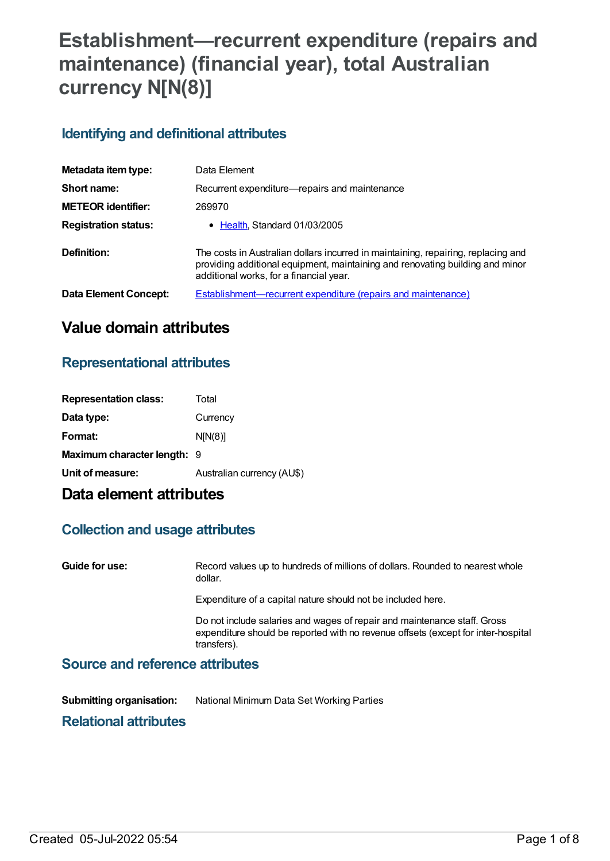# **Establishment—recurrent expenditure (repairs and maintenance) (financial year), total Australian currency N[N(8)]**

# **Identifying and definitional attributes**

| Metadata item type:          | Data Element                                                                                                                                                                                                  |
|------------------------------|---------------------------------------------------------------------------------------------------------------------------------------------------------------------------------------------------------------|
| Short name:                  | Recurrent expenditure—repairs and maintenance                                                                                                                                                                 |
| <b>METEOR identifier:</b>    | 269970                                                                                                                                                                                                        |
| <b>Registration status:</b>  | • Health, Standard 01/03/2005                                                                                                                                                                                 |
| Definition:                  | The costs in Australian dollars incurred in maintaining, repairing, replacing and<br>providing additional equipment, maintaining and renovating building and minor<br>additional works, for a financial year. |
| <b>Data Element Concept:</b> | <b>Establishment—recurrent expenditure (repairs and maintenance)</b>                                                                                                                                          |

# **Value domain attributes**

### **Representational attributes**

| <b>Representation class:</b> | Total                      |
|------------------------------|----------------------------|
| Data type:                   | Currency                   |
| Format:                      | N[N(8)]                    |
| Maximum character length: 9  |                            |
| Unit of measure:             | Australian currency (AU\$) |
|                              |                            |

# **Data element attributes**

### **Collection and usage attributes**

**Guide for use:** Record values up to hundreds of millions of dollars. Rounded to nearest whole dollar. Expenditure of a capital nature should not be included here. Do not include salaries and wages of repair and maintenance staff. Gross expenditure should be reported with no revenue offsets (except for inter-hospital transfers). **Source and reference attributes**

**Submitting organisation:** National Minimum Data Set Working Parties

# **Relational attributes**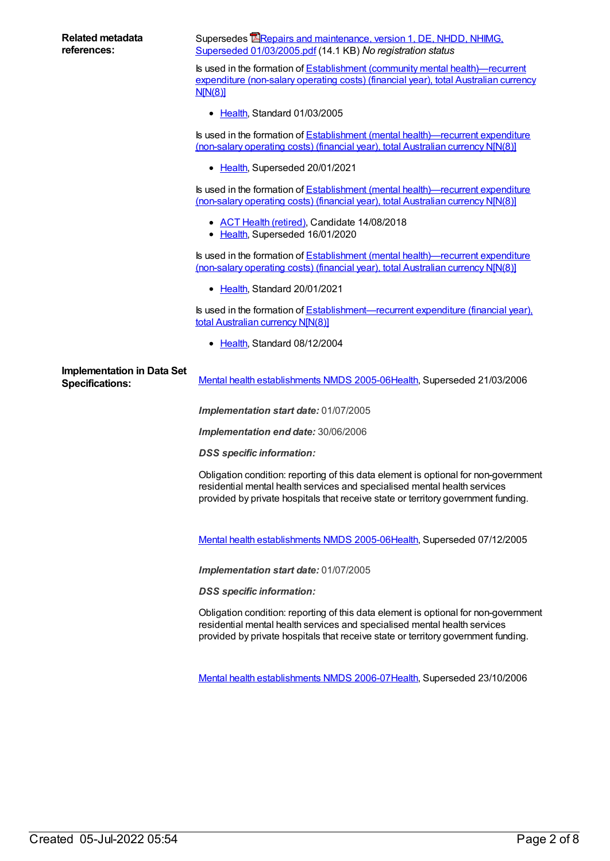| <b>Related metadata</b><br>references:                      | Supersedes <b>E</b> Repairs and maintenance, version 1, DE, NHDD, NHIMG,<br>Superseded 01/03/2005.pdf (14.1 KB) No registration status                                                                                                                |
|-------------------------------------------------------------|-------------------------------------------------------------------------------------------------------------------------------------------------------------------------------------------------------------------------------------------------------|
|                                                             | Is used in the formation of Establishment (community mental health)—recurrent<br>expenditure (non-salary operating costs) (financial year), total Australian currency<br>N[N(8)]                                                                      |
|                                                             | • Health, Standard 01/03/2005                                                                                                                                                                                                                         |
|                                                             | Is used in the formation of <b>Establishment</b> (mental health)—recurrent expenditure<br>(non-salary operating costs) (financial year), total Australian currency N[N(8)]                                                                            |
|                                                             | • Health, Superseded 20/01/2021                                                                                                                                                                                                                       |
|                                                             | Is used in the formation of Establishment (mental health)—recurrent expenditure<br>(non-salary operating costs) (financial year), total Australian currency NJN(8)]                                                                                   |
|                                                             | • ACT Health (retired), Candidate 14/08/2018<br>• Health, Superseded 16/01/2020                                                                                                                                                                       |
|                                                             | Is used in the formation of Establishment (mental health)—recurrent expenditure<br>(non-salary operating costs) (financial year), total Australian currency NJN(8)]                                                                                   |
|                                                             | • Health, Standard 20/01/2021                                                                                                                                                                                                                         |
|                                                             | Is used in the formation of Establishment—recurrent expenditure (financial year),<br>total Australian currency N[N(8)]                                                                                                                                |
|                                                             | • Health, Standard 08/12/2004                                                                                                                                                                                                                         |
| <b>Implementation in Data Set</b><br><b>Specifications:</b> | Mental health establishments NMDS 2005-06Health, Superseded 21/03/2006                                                                                                                                                                                |
|                                                             | Implementation start date: 01/07/2005                                                                                                                                                                                                                 |
|                                                             | Implementation end date: 30/06/2006                                                                                                                                                                                                                   |
|                                                             | <b>DSS</b> specific information:                                                                                                                                                                                                                      |
|                                                             | Obligation condition: reporting of this data element is optional for non-government<br>residential mental health services and specialised mental health services<br>provided by private hospitals that receive state or territory government funding. |
|                                                             |                                                                                                                                                                                                                                                       |
|                                                             | Mental health establishments NMDS 2005-06Health, Superseded 07/12/2005                                                                                                                                                                                |
|                                                             | Implementation start date: 01/07/2005                                                                                                                                                                                                                 |
|                                                             | <b>DSS</b> specific information:                                                                                                                                                                                                                      |
|                                                             | Obligation condition: reporting of this data element is optional for non-government<br>residential mental health services and specialised mental health services<br>provided by private hospitals that receive state or territory government funding. |

Mental health [establishments](https://meteor.aihw.gov.au/content/334283) NMDS 2006-07[Health](https://meteor.aihw.gov.au/RegistrationAuthority/12), Superseded 23/10/2006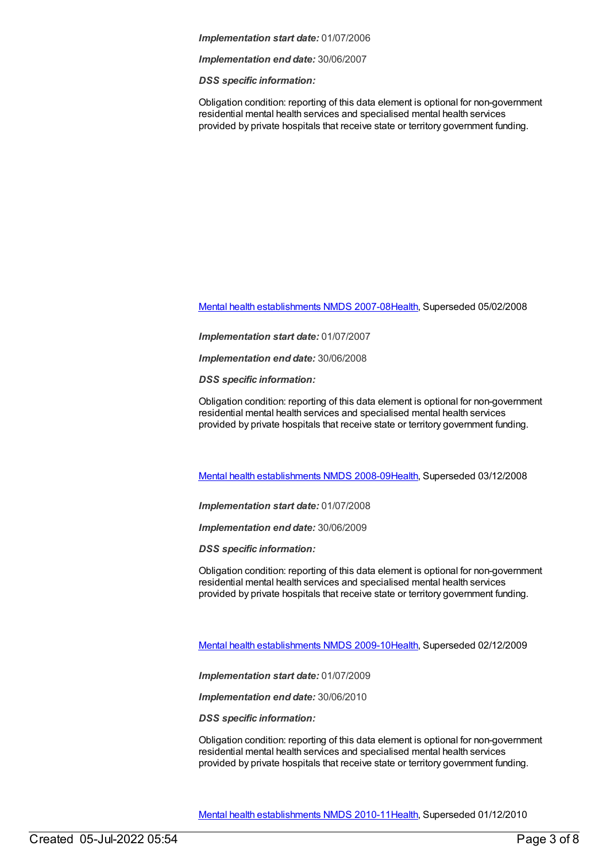#### *Implementation start date:* 01/07/2006

*Implementation end date:* 30/06/2007

*DSS specific information:*

Obligation condition: reporting of this data element is optional for non-government residential mental health services and specialised mental health services provided by private hospitals that receive state or territory government funding.

Mental health [establishments](https://meteor.aihw.gov.au/content/345134) NMDS 2007-08[Health](https://meteor.aihw.gov.au/RegistrationAuthority/12), Superseded 05/02/2008

*Implementation start date:* 01/07/2007

*Implementation end date:* 30/06/2008

*DSS specific information:*

Obligation condition: reporting of this data element is optional for non-government residential mental health services and specialised mental health services provided by private hospitals that receive state or territory government funding.

Mental health [establishments](https://meteor.aihw.gov.au/content/362299) NMDS 2008-09[Health](https://meteor.aihw.gov.au/RegistrationAuthority/12), Superseded 03/12/2008

*Implementation start date:* 01/07/2008

*Implementation end date:* 30/06/2009

*DSS specific information:*

Obligation condition: reporting of this data element is optional for non-government residential mental health services and specialised mental health services provided by private hospitals that receive state or territory government funding.

Mental health [establishments](https://meteor.aihw.gov.au/content/374981) NMDS 2009-10[Health](https://meteor.aihw.gov.au/RegistrationAuthority/12), Superseded 02/12/2009

*Implementation start date:* 01/07/2009

*Implementation end date:* 30/06/2010

*DSS specific information:*

Obligation condition: reporting of this data element is optional for non-government residential mental health services and specialised mental health services provided by private hospitals that receive state or territory government funding.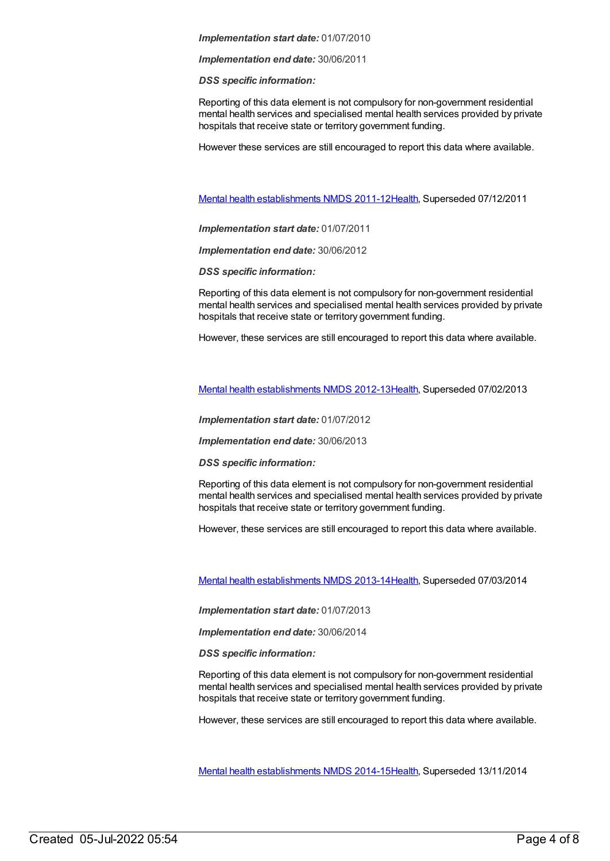#### *Implementation start date:* 01/07/2010

*Implementation end date:* 30/06/2011

*DSS specific information:*

Reporting of this data element is not compulsory for non-government residential mental health services and specialised mental health services provided by private hospitals that receive state or territory government funding.

However these services are still encouraged to report this data where available.

Mental health [establishments](https://meteor.aihw.gov.au/content/424725) NMDS 2011-12[Health](https://meteor.aihw.gov.au/RegistrationAuthority/12), Superseded 07/12/2011

*Implementation start date:* 01/07/2011

*Implementation end date:* 30/06/2012

*DSS specific information:*

Reporting of this data element is not compulsory for non-government residential mental health services and specialised mental health services provided by private hospitals that receive state or territory government funding.

However, these services are still encouraged to report this data where available.

Mental health [establishments](https://meteor.aihw.gov.au/content/468195) NMDS 2012-13[Health](https://meteor.aihw.gov.au/RegistrationAuthority/12), Superseded 07/02/2013

*Implementation start date:* 01/07/2012

*Implementation end date:* 30/06/2013

*DSS specific information:*

Reporting of this data element is not compulsory for non-government residential mental health services and specialised mental health services provided by private hospitals that receive state or territory government funding.

However, these services are still encouraged to report this data where available.

Mental health [establishments](https://meteor.aihw.gov.au/content/493652) NMDS 2013-14[Health](https://meteor.aihw.gov.au/RegistrationAuthority/12), Superseded 07/03/2014

*Implementation start date:* 01/07/2013

*Implementation end date:* 30/06/2014

*DSS specific information:*

Reporting of this data element is not compulsory for non-government residential mental health services and specialised mental health services provided by private hospitals that receive state or territory government funding.

However, these services are still encouraged to report this data where available.

Mental health [establishments](https://meteor.aihw.gov.au/content/546889) NMDS 2014-15[Health](https://meteor.aihw.gov.au/RegistrationAuthority/12), Superseded 13/11/2014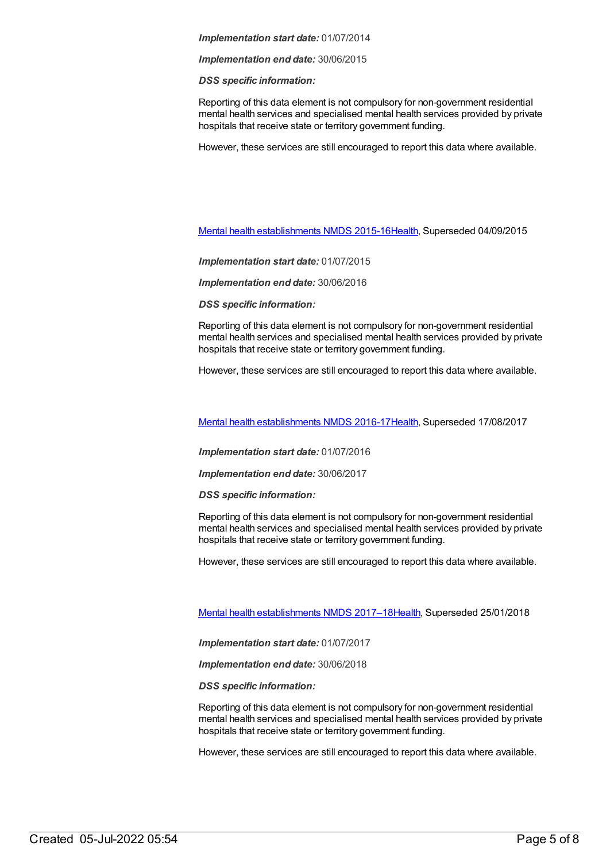#### *Implementation start date:* 01/07/2014

*Implementation end date:* 30/06/2015

*DSS specific information:*

Reporting of this data element is not compulsory for non-government residential mental health services and specialised mental health services provided by private hospitals that receive state or territory government funding.

However, these services are still encouraged to report this data where available.

Mental health [establishments](https://meteor.aihw.gov.au/content/565661) NMDS 2015-16[Health](https://meteor.aihw.gov.au/RegistrationAuthority/12), Superseded 04/09/2015

*Implementation start date:* 01/07/2015

*Implementation end date:* 30/06/2016

*DSS specific information:*

Reporting of this data element is not compulsory for non-government residential mental health services and specialised mental health services provided by private hospitals that receive state or territory government funding.

However, these services are still encouraged to report this data where available.

Mental health [establishments](https://meteor.aihw.gov.au/content/605829) NMDS 2016-17[Health](https://meteor.aihw.gov.au/RegistrationAuthority/12), Superseded 17/08/2017

*Implementation start date:* 01/07/2016

*Implementation end date:* 30/06/2017

*DSS specific information:*

Reporting of this data element is not compulsory for non-government residential mental health services and specialised mental health services provided by private hospitals that receive state or territory government funding.

However, these services are still encouraged to report this data where available.

Mental health [establishments](https://meteor.aihw.gov.au/content/645723) NMDS 2017–1[8Health](https://meteor.aihw.gov.au/RegistrationAuthority/12), Superseded 25/01/2018

*Implementation start date:* 01/07/2017

*Implementation end date:* 30/06/2018

*DSS specific information:*

Reporting of this data element is not compulsory for non-government residential mental health services and specialised mental health services provided by private hospitals that receive state or territory government funding.

However, these services are still encouraged to report this data where available.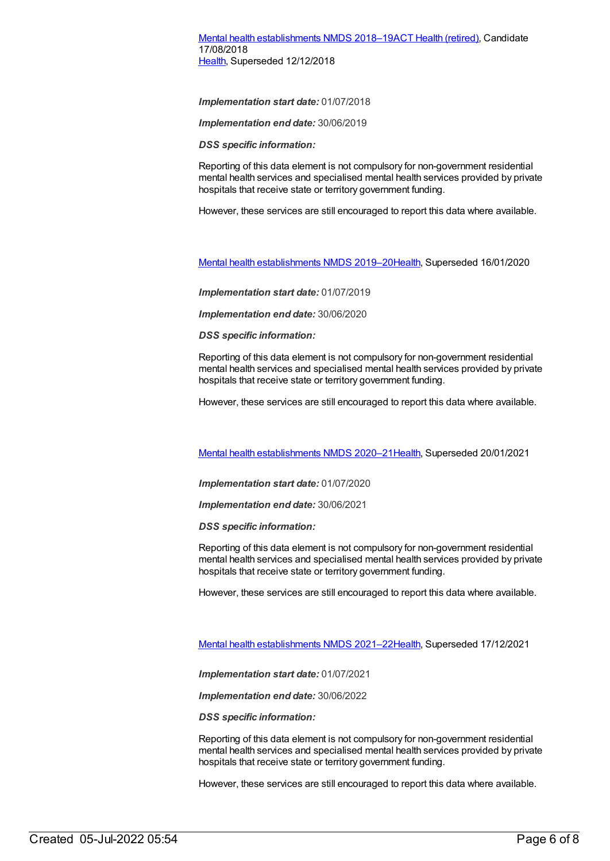#### Mental health [establishments](https://meteor.aihw.gov.au/content/677892) NMDS 2018–19ACT Health [\(retired\)](https://meteor.aihw.gov.au/RegistrationAuthority/9), Candidate 17/08/2018 [Health](https://meteor.aihw.gov.au/RegistrationAuthority/12), Superseded 12/12/2018

*Implementation start date:* 01/07/2018

*Implementation end date:* 30/06/2019

*DSS specific information:*

Reporting of this data element is not compulsory for non-government residential mental health services and specialised mental health services provided by private hospitals that receive state or territory government funding.

However, these services are still encouraged to report this data where available.

Mental health [establishments](https://meteor.aihw.gov.au/content/707557) NMDS 2019–2[0Health](https://meteor.aihw.gov.au/RegistrationAuthority/12), Superseded 16/01/2020

*Implementation start date:* 01/07/2019

*Implementation end date:* 30/06/2020

*DSS specific information:*

Reporting of this data element is not compulsory for non-government residential mental health services and specialised mental health services provided by private hospitals that receive state or territory government funding.

However, these services are still encouraged to report this data where available.

Mental health [establishments](https://meteor.aihw.gov.au/content/722168) NMDS 2020–2[1Health](https://meteor.aihw.gov.au/RegistrationAuthority/12), Superseded 20/01/2021

*Implementation start date:* 01/07/2020

*Implementation end date:* 30/06/2021

*DSS specific information:*

Reporting of this data element is not compulsory for non-government residential mental health services and specialised mental health services provided by private hospitals that receive state or territory government funding.

However, these services are still encouraged to report this data where available.

Mental health [establishments](https://meteor.aihw.gov.au/content/727352) NMDS 2021–2[2Health](https://meteor.aihw.gov.au/RegistrationAuthority/12), Superseded 17/12/2021

*Implementation start date:* 01/07/2021

*Implementation end date:* 30/06/2022

*DSS specific information:*

Reporting of this data element is not compulsory for non-government residential mental health services and specialised mental health services provided by private hospitals that receive state or territory government funding.

However, these services are still encouraged to report this data where available.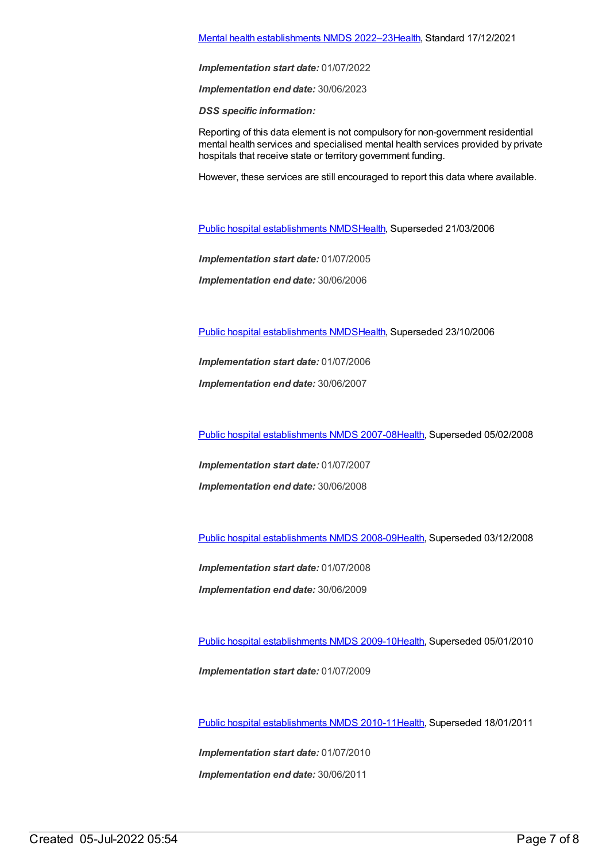#### Mental health [establishments](https://meteor.aihw.gov.au/content/742046) NMDS 2022–2[3Health](https://meteor.aihw.gov.au/RegistrationAuthority/12), Standard 17/12/2021

*Implementation start date:* 01/07/2022

*Implementation end date:* 30/06/2023

*DSS specific information:*

Reporting of this data element is not compulsory for non-government residential mental health services and specialised mental health services provided by private hospitals that receive state or territory government funding.

However, these services are still encouraged to report this data where available.

Public hospital [establishments](https://meteor.aihw.gov.au/content/273047) NMDS[Health](https://meteor.aihw.gov.au/RegistrationAuthority/12), Superseded 21/03/2006

*Implementation start date:* 01/07/2005

*Implementation end date:* 30/06/2006

Public hospital [establishments](https://meteor.aihw.gov.au/content/334285) NMDS[Health](https://meteor.aihw.gov.au/RegistrationAuthority/12), Superseded 23/10/2006

*Implementation start date:* 01/07/2006

*Implementation end date:* 30/06/2007

Public hospital [establishments](https://meteor.aihw.gov.au/content/345139) NMDS 2007-08[Health](https://meteor.aihw.gov.au/RegistrationAuthority/12), Superseded 05/02/2008

*Implementation start date:* 01/07/2007

*Implementation end date:* 30/06/2008

Public hospital [establishments](https://meteor.aihw.gov.au/content/362302) NMDS 2008-09[Health](https://meteor.aihw.gov.au/RegistrationAuthority/12), Superseded 03/12/2008

*Implementation start date:* 01/07/2008 *Implementation end date:* 30/06/2009

Public hospital [establishments](https://meteor.aihw.gov.au/content/374924) NMDS 2009-10[Health](https://meteor.aihw.gov.au/RegistrationAuthority/12), Superseded 05/01/2010

*Implementation start date:* 01/07/2009

Public hospital [establishments](https://meteor.aihw.gov.au/content/386794) NMDS 2010-11[Health](https://meteor.aihw.gov.au/RegistrationAuthority/12), Superseded 18/01/2011

*Implementation start date:* 01/07/2010 *Implementation end date:* 30/06/2011